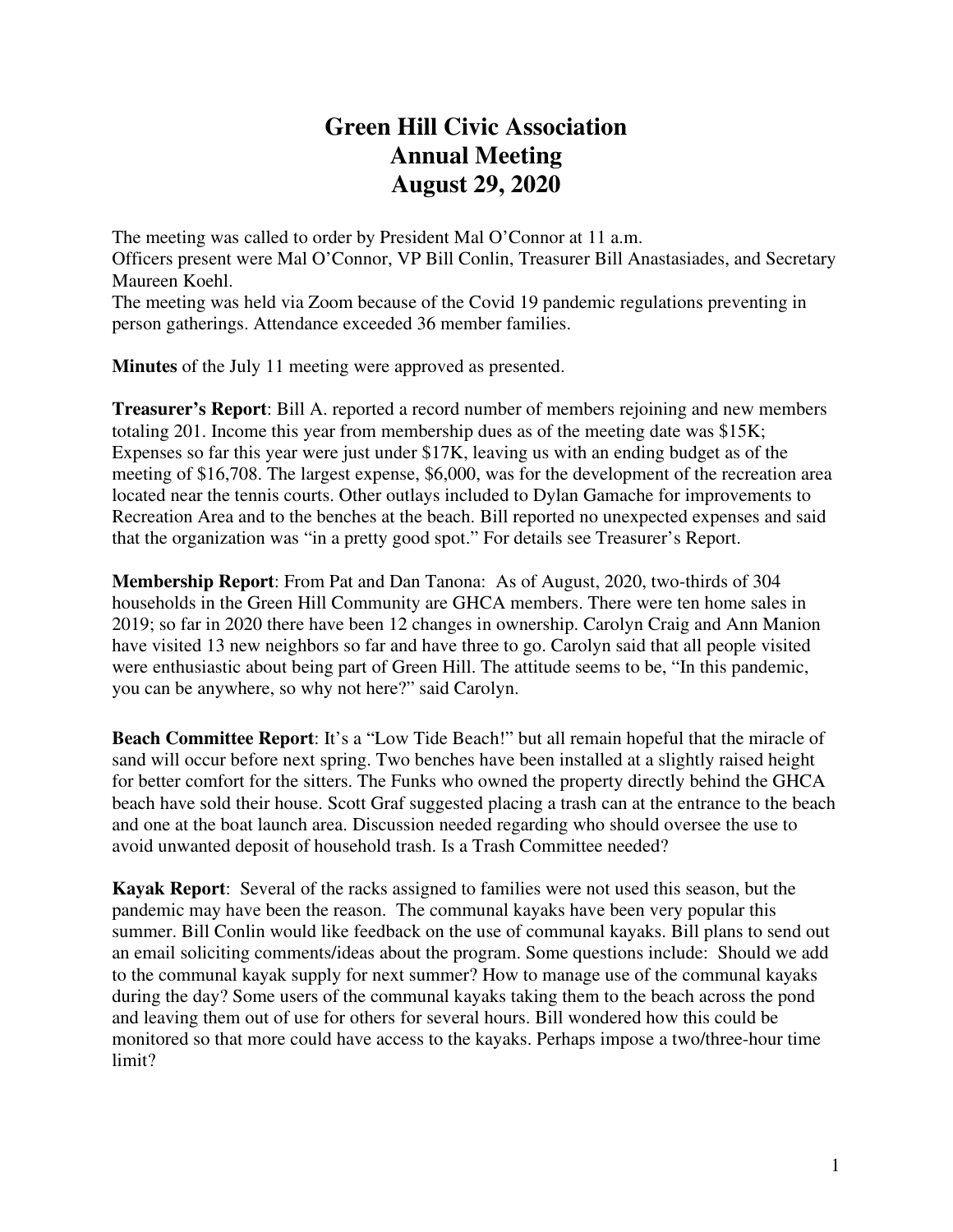## **Green Hill Civic Association Annual Meeting August 29, 2020**

The meeting was called to order by President Mal O'Connor at 11 a.m. Officers present were Mal O'Connor, VP Bill Conlin, Treasurer Bill Anastasiades, and Secretary Maureen Koehl.

The meeting was held via Zoom because of the Covid 19 pandemic regulations preventing in person gatherings. Attendance exceeded 36 member families.

**Minutes** of the July 11 meeting were approved as presented.

**Treasurer's Report**: Bill A. reported a record number of members rejoining and new members totaling 201. Income this year from membership dues as of the meeting date was \$15K; Expenses so far this year were just under \$17K, leaving us with an ending budget as of the meeting of \$16,708. The largest expense, \$6,000, was for the development of the recreation area located near the tennis courts. Other outlays included to Dylan Gamache for improvements to Recreation Area and to the benches at the beach. Bill reported no unexpected expenses and said that the organization was "in a pretty good spot." For details see Treasurer's Report.

**Membership Report**: From Pat and Dan Tanona: As of August, 2020, two-thirds of 304 households in the Green Hill Community are GHCA members. There were ten home sales in 2019; so far in 2020 there have been 12 changes in ownership. Carolyn Craig and Ann Manion have visited 13 new neighbors so far and have three to go. Carolyn said that all people visited were enthusiastic about being part of Green Hill. The attitude seems to be, "In this pandemic, you can be anywhere, so why not here?" said Carolyn.

**Beach Committee Report**: It's a "Low Tide Beach!" but all remain hopeful that the miracle of sand will occur before next spring. Two benches have been installed at a slightly raised height for better comfort for the sitters. The Funks who owned the property directly behind the GHCA beach have sold their house. Scott Graf suggested placing a trash can at the entrance to the beach and one at the boat launch area. Discussion needed regarding who should oversee the use to avoid unwanted deposit of household trash. Is a Trash Committee needed?

**Kayak Report**: Several of the racks assigned to families were not used this season, but the pandemic may have been the reason. The communal kayaks have been very popular this summer. Bill Conlin would like feedback on the use of communal kayaks. Bill plans to send out an email soliciting comments/ideas about the program. Some questions include: Should we add to the communal kayak supply for next summer? How to manage use of the communal kayaks during the day? Some users of the communal kayaks taking them to the beach across the pond and leaving them out of use for others for several hours. Bill wondered how this could be monitored so that more could have access to the kayaks. Perhaps impose a two/three-hour time limit?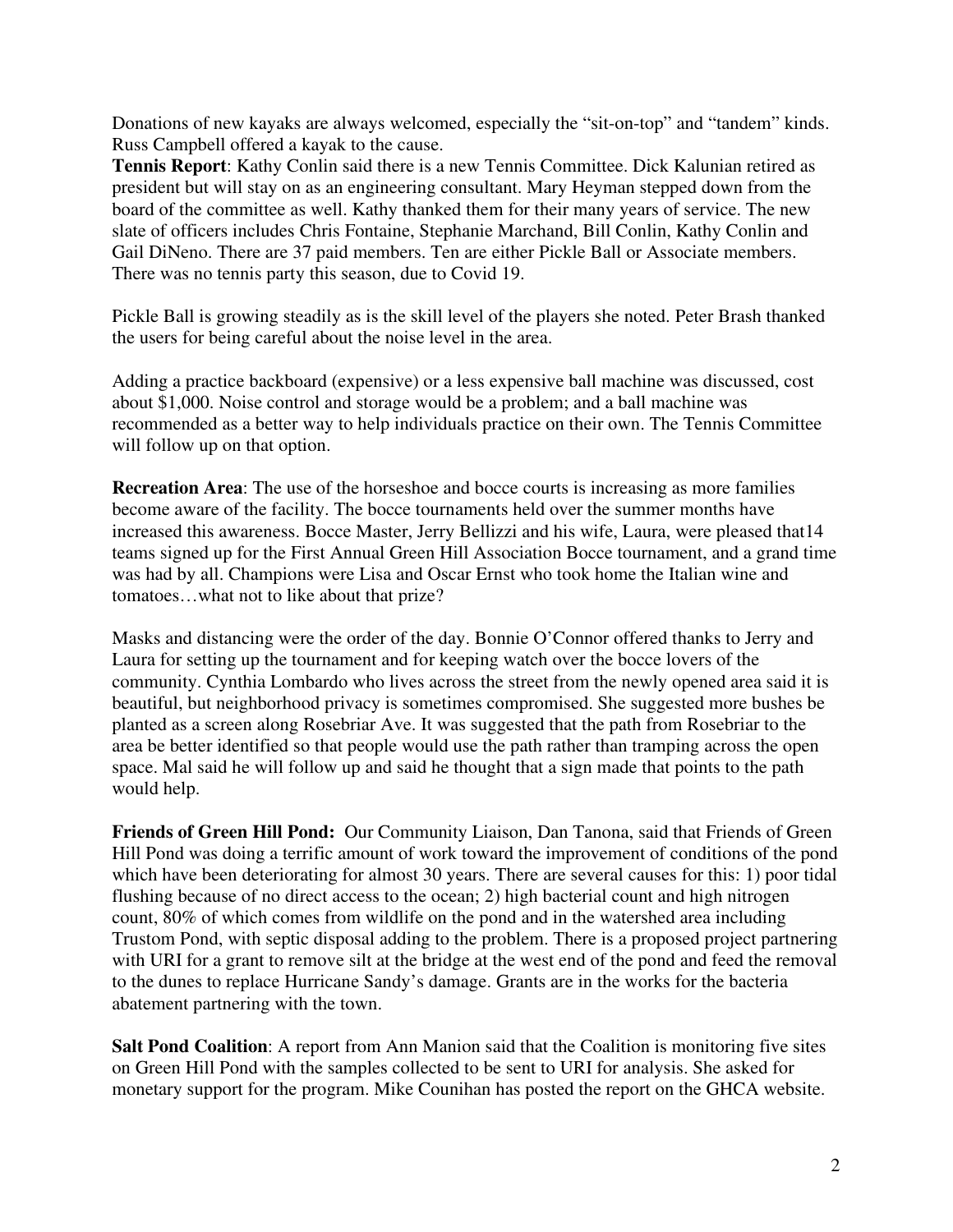Donations of new kayaks are always welcomed, especially the "sit-on-top" and "tandem" kinds. Russ Campbell offered a kayak to the cause.

**Tennis Report**: Kathy Conlin said there is a new Tennis Committee. Dick Kalunian retired as president but will stay on as an engineering consultant. Mary Heyman stepped down from the board of the committee as well. Kathy thanked them for their many years of service. The new slate of officers includes Chris Fontaine, Stephanie Marchand, Bill Conlin, Kathy Conlin and Gail DiNeno. There are 37 paid members. Ten are either Pickle Ball or Associate members. There was no tennis party this season, due to Covid 19.

Pickle Ball is growing steadily as is the skill level of the players she noted. Peter Brash thanked the users for being careful about the noise level in the area.

Adding a practice backboard (expensive) or a less expensive ball machine was discussed, cost about \$1,000. Noise control and storage would be a problem; and a ball machine was recommended as a better way to help individuals practice on their own. The Tennis Committee will follow up on that option.

**Recreation Area**: The use of the horseshoe and bocce courts is increasing as more families become aware of the facility. The bocce tournaments held over the summer months have increased this awareness. Bocce Master, Jerry Bellizzi and his wife, Laura, were pleased that14 teams signed up for the First Annual Green Hill Association Bocce tournament, and a grand time was had by all. Champions were Lisa and Oscar Ernst who took home the Italian wine and tomatoes…what not to like about that prize?

Masks and distancing were the order of the day. Bonnie O'Connor offered thanks to Jerry and Laura for setting up the tournament and for keeping watch over the bocce lovers of the community. Cynthia Lombardo who lives across the street from the newly opened area said it is beautiful, but neighborhood privacy is sometimes compromised. She suggested more bushes be planted as a screen along Rosebriar Ave. It was suggested that the path from Rosebriar to the area be better identified so that people would use the path rather than tramping across the open space. Mal said he will follow up and said he thought that a sign made that points to the path would help.

**Friends of Green Hill Pond:** Our Community Liaison, Dan Tanona, said that Friends of Green Hill Pond was doing a terrific amount of work toward the improvement of conditions of the pond which have been deteriorating for almost 30 years. There are several causes for this: 1) poor tidal flushing because of no direct access to the ocean; 2) high bacterial count and high nitrogen count, 80% of which comes from wildlife on the pond and in the watershed area including Trustom Pond, with septic disposal adding to the problem. There is a proposed project partnering with URI for a grant to remove silt at the bridge at the west end of the pond and feed the removal to the dunes to replace Hurricane Sandy's damage. Grants are in the works for the bacteria abatement partnering with the town.

**Salt Pond Coalition**: A report from Ann Manion said that the Coalition is monitoring five sites on Green Hill Pond with the samples collected to be sent to URI for analysis. She asked for monetary support for the program. Mike Counihan has posted the report on the GHCA website.